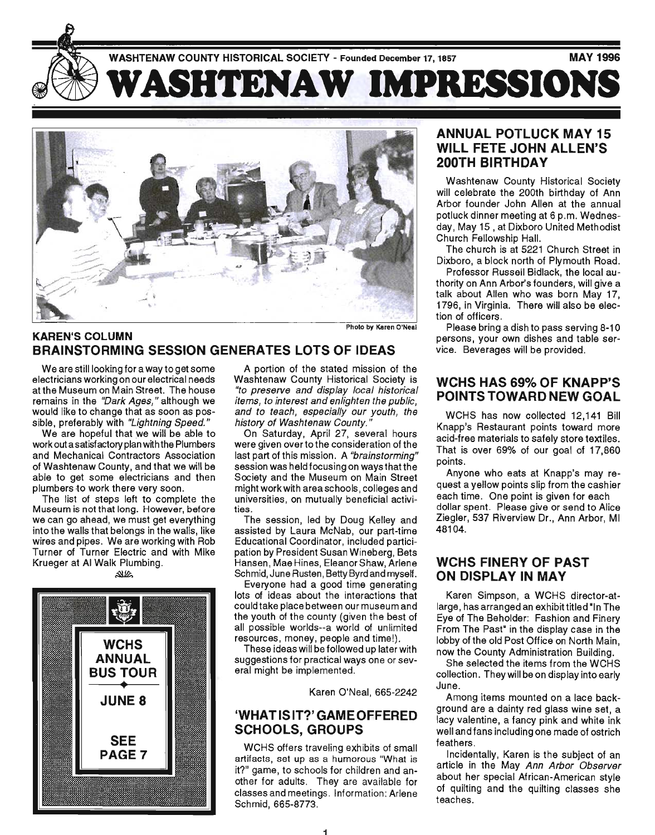

### KAREN'S COLUMN BRAINSTORMING SESSION GENERATES LOTS OF IDEAS

We are still looking for a way to get some electricians working on our electrical needs at the Museum on Main Street. The house remains in the "Dark Ages," although we would like to change that as soon as possible, preferably with "Lightning Speed."

We are hopeful that we will be able to work out a satisfactory plan with the Plumbers and Mechanical Contractors Association of Washtenaw County, and that we will be able to get some electricians and then plumbers ·to work there very soon.

The list of steps left to complete the Museum is not that long. However, before we can go ahead, we must get everything into the walls that belongs in the walls, like wires and pipes. We are working with Rob Turner of Turner Electric and with Mike Krueger at AI Walk Plumbing. ~



A portion of the stated mission of the Washtenaw County Historical Society is "to preserve and display local historical items, to interest and enlighten the public, and to teach, especially our youth, the history of Washtenaw County. "

On Saturday, April 27, several hours were given over to the consideration of the last part of this mission. A "brainstorming" session was held focusing on ways that the Society and the Museum on Main Street might work with area schools , colleges and universities, on mutually beneficial activities .

The session, led by Doug Kelley and assisted by Laura McNab, our part-time Educational Coordinator, included participation by President Susan Wineberg, Bets Hansen, Mae Hines, Eleanor Shaw, Arlene Schmid, June Rusten, Betty Byrd and myself.

Everyone had a good time generating lots of ideas about the interactions that could take place between our museum and the youth of the county (given the best of all possible worlds--a world of unlimited resources, money, people and time!).

These ideas will be followed up later with suggestions for practical ways one or several might be implemented.

Karen O'Neal, 665-2242

### 'WHAT IS IT?' GAME OFFERED SCHOOLS, GROUPS

WCHS offers traveling exhibits of small artifacts, set up as a humorous "What is it?" game, to schools for children and another for adults. They are available for classes and meetings. Information: Arlene Schmid, 665-8773.

### ANNUAL POTLUCK MAY 15 WILL FETE JOHN ALLEN'S 200TH BIRTHDAY

Washtenaw County Historical Society will celebrate the 200th birthday of Ann Arbor founder John Allen at the annual potluck dinner meeting at 6 p.m. Wednesday, May 15 , at Dixboro United Methodist Church Fellowship Hall.

The church is at 5221 Church Street in Dixboro, a block north of Plymouth Road.

Professor Russell Bidlack, the local authority on Ann Arbor's founders, will give a talk about Allen who was born May 17, 1796, in Virginia. There will also be election of officers.

Please bring a dish to pass serving 8-10 persons, your own dishes and table service. Beverages will be provided.

#### WCHS HAS 69% OF KNAPP'S POINTS TOWARD NEW GOAL

WCHS has now collected 12,141 Bill Knapp's Restaurant points toward more acid-free materials to safely store textiles. That is over 69% of our goal of 17,860 points.

Anyone who eats at Knapp's may request a yellow points slip from the cashier each time. One point is given for each dollar spent. Please give or send to Alice ' Ziegler, 537 Riverview Dr., Ann Arbor, MI 48104.

#### WCHS FINERY OF PAST ON DISPLAY IN MAY

Karen Simpson, a WCHS director-atlarge, has arranged an exhibit titled "In The Eye of The Beholder: Fashion and Finery From The Past" in the display case in the lobby of the old Post Office on North Main, now the County Administration Building.

She selected the items from the WCHS collection. They will be on display into early June.

Among items mounted on a lace background are a dainty red glass wine set, a lacy valentine, a fancy pink and white ink well and fans including one made of ostrich feathers.

Incidentally, Karen is the subject of an article in the May Ann Arbor Observer about her special African-American style of quilting and the quilting classes she teaches.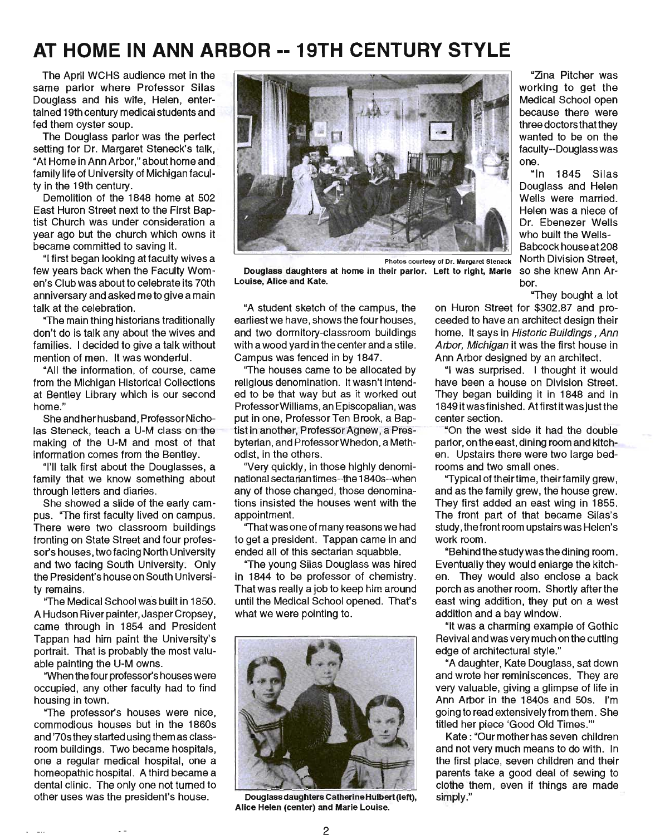# **AT HOME IN ANN ARBOR --19TH CENTURY STYLE**

The April WCHS audience met in the same parlor where Professor Silas Douglass and his wife, Helen, entertained 19th century medical students and fed them oyster soup.

The Douglass parlor was the perfect setting for Dr. Margaret Steneck's talk, "At Home in Ann Arbor," about home and family life of University of Michigan faculty in the 19th century.

Demolition of the 1848 home at 502 East Huron Street next to the First Baptist Church was under consideration a year ago but the church which owns it became committed to saving it.

"I first began looking at faculty wives a few years back when the Faculty Women's Club was about to celebrate its 70th anniversary and asked me to give a main talk at the celebration.

"The main thing historians traditionally don't do is talk any about the wives and families. I decided to give a talk without mention of men. It was wonderful.

"All the information, of course, came from the Michigan Historical Collections at Bentley Library which is our second home."

She and her husband, Professor Nicholas Steneck, teach a U-M class on the making of the U-M and most of that information comes from the Bentley.

"I'll talk first about the Douglasses, a family that we know something about through letters and diaries.

She showed a slide of the early campus. ''The first faculty lived on campus. There were two classroom buildings fronting on State Street and four professor's houses, two facing North University and two facing South University. Only the President's house on South University remains.

"The Medical School was built in 1850. A Hudson River painter, Jasper Cropsey, came through in 1854 and President Tappan had him paint the University's portrait. That is probably the most valuable painting the U-M owns.

"When the four professor's houses were occupied, any other faculty had to find housing in town.

"The professor's houses were nice, commodious houses but in the 1860s and '70s they started using them as classroom buildings. Two became hospitals, one a regUlar medical hospital, one a homeopathic hospital. A third became a dental clinic. The only one not turned to other uses was the president's house.



Douglass daughters at home in their parlor. Left to right, Marie Louise, Alice and Kate.

"A student sketch of the campus, the earliest we have, shows the four houses, and two dormitory-classroom buildings with a wood yard in the center and a stile. Campus was fenced in by 1847.

"The houses came to be allocated by religious denomination. It wasn't intended to be that way but as it worked out ProfessorWilliams, an Episcopalian, was put in one, Professor Ten Brook, a Baptist in another, Professor Agnew, a Presbyterian, and Professor Whedon, a Methodist, in the others.

"Very quickly, in those highly denominational sectarian times--the 1840s--when any of those changed, those denominations insisted the houses went with the appointment.

"That was one of many reasons we had to get a president. Tappan came in and ended all of this sectarian squabble.

"The young Silas Douglass was hired in 1844 to be professor of chemistry. That was really a job to keep him around until the Medical School opened. That's what we were pointing to.



Douglass daughters Catherine Hulbert (left), Alice Helen (center) and Marie Louise.

"Zina Pitcher was working to get the Medical School open because there were three doctors that they wanted to be on the faculty--Douglass was one.

"In 1845 Silas Douglass and Helen Wells were married. Helen was a niece of Dr. Ebenezer Wells who built the Wells-Babcock house at 208 North Division Street, so she knew Ann Arbor.

"They bought a lot

on Huron Street for \$302.87 and proceeded to have an architect design their home. It says in Historic Buildings, Ann Arbor, Michigan it was the first house in Ann Arbor designed by an architect.

"I was surprised. I thought it would have been a house on Division Street. They began building it in 1848 and in 1849 it was finished. At first it was just the center section.

"On the west side it had the double par1or, on the east, dining room and kitchen. Upstairs there were two large bedrooms and two small ones.

"Typical of theirtime, theirfamily grew, and as the family grew, the house grew. They first added an east wing in 1855. The front part of that became Silas's study, the front room upstairs was Helen's work room.

"Behind the study was the dining room. Eventually they would enlarge the kitchen. They would also enclose a back porch as another room. Shortly after the east wing addition, they put on a west addition and a bay window.

"It was a charming example of Gothic Revival and was very much on the cutting edge of architectural style."

"A daughter, Kate Douglass, sat down and wrote her reminiscences. They are very valuable, giving a glimpse of life in Ann Arbor in the 1840s and 50s. I'm going to read extensively from them. She titled her piece 'Good Old Times.'"

Kate: "Our mother has seven children and not very much means to do with. In the first place, seven children and their parents take a good deal of sewing to clothe them, even if things are made simply."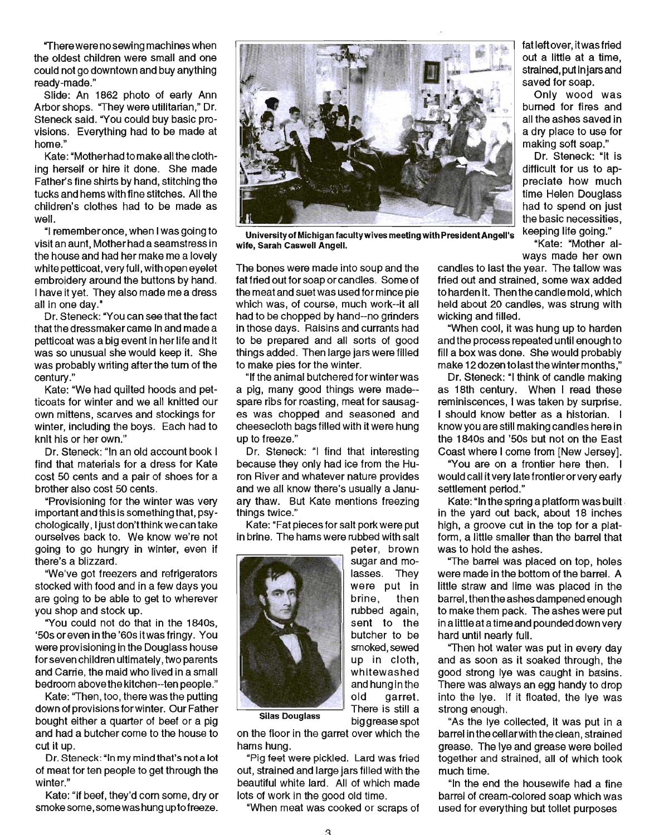"There were no sewing machines when the oldest children were small and one could not go downtown and buy anything ready-made."

Slide: An 1862 photo of early Ann Arbor shops. "They were utilitarian," Dr. Steneck said. "You could buy basic provisions. Everything had to be made at home."

Kate: "Mother had to make all the clothing herself or hire it done. She made Father's fine shirts by hand, stitching the tucks and hems with fine stitches. All the children's clothes had to be made as well.

"I remember once, when I was going to visit an aunt, Mother had a seamstress in the house and had her make me a lovely white petticoat, very full, with open eyelet embroidery around the buttons by hand. I have it yet. They also made me a dress all in one day."

Dr. Steneck: "You can see that the fact that the dressmaker came in and made a petticoat was a big event in her life and it was so unusual she would keep it. She was probably writing after the tum of the century."

Kate: "We had quilted hoods and petticoats for winter and we all knitted our own mittens, scarves and stockings for Winter, including the boys. Each had to knit his or her own."

Dr. Steneck: "In an old account book I find that materials for a dress for Kate cost 50 cents and a pair of shoes for a brother also cost 50 cents.

"Provisioning for the winter was very important and this is something that, psychologically, I just don'tthink we can take ourselves back to. We know we're not going to go hungry in Winter, even if there's a blizzard.

"We've got freezers and refrigerators stocked with food and in a few days you are going to be able to get to wherever you shop and stock up.

"You could not do that in the 1840s, '50s or even inthe '60sitwasfringy. You were provisioning in the Douglass house for seven children ultimately, two parents and Carrie, the maid who lived in a small bedroom above the kitchen--ten people."

Kate: "Then, too, there was the putting down of provisions for winter. Our Father bought either a quarter of beef or a pig and had a butcher come to the house to cut it up.

Dr. Steneck: "In my mind that's not a lot of meat for ten people to get through the winter."

Kate: "If beef, they'd corn some, dry or smoke some, some was hung up to freeze.



University of Michigan faculty wives meeting with President Angell's Keeping life going."<br>fe\_Sarah Caswell Angell wife, Sarah Caswell Angell.

The bones were made into soup and the fat fried out for soap or candles. Some of the meat and suet was used for mince pie which was, of course, much work--it all had to be chopped by hand--no grinders in those days. Raisins and currants had to be prepared and all sorts of good things added. Then large jars were filled to make pies for the winter.

"If the animal butchered for winter was a pig, many good things were made- spare ribs for roasting, meat for sausages was chopped and seasoned and cheesecloth bags filled with it were hung up to freeze."

Dr. Steneck: "I find that interesting because they only had ice from the Huron River and whatever nature provides and we all know there's usually a January thaw. But Kate mentions freezing things twice."

Kate: "Fat pieces for salt pork were put in brine. The hams were rubbed with salt

> peter, brown sugar and molasses. They were put in brine, then rubbed again, sent to the butcher to be smoked, sewed up in cloth, whitewashed and hung in the old garret. There is still a big grease spot



**Silas Douglass** 

on the floor in the garret over which the hams hung.

"Pig feet were pickled. Lard was fried out, strained and large jars filled with the beautiful white lard. All of which made lots of work in the good old time.

"When meat was cooked or scraps of

fatleft over, it was fried out a little at a time, strained, put injars and saved for soap.

Only wood was burned for fires and all the ashes saved in a dry place to use for making soft soap."

Dr. Steneck: "It is difficult for us to appreciate how much time Helen Douglass had to spend on just the basic necessities,

ways made her own

candles to last the year. The tallow was fried out and strained, some wax added to harden it. Then the candle mold, which held about 20 candles, was strung with wicking and filled.

"When cool, it was hung up to harden and the process repeated until enough to fill a box was done. She would probably make 12 dozen to last the winter months."

Dr. Steneck: "I think of candle making as 18th century. When I read these reminiscences, I was taken by surprise. I should know better as a historian. I know you are still making candles here in the 1840s and '50s but not on the East Coast where I come from [New Jersey].

"You are on a frontier here then. I would call it very late frontier or very ear1y settlement period."

Kate: "In the spring a platform was built · in the yard out back, about 18 inches high, a groove cut in the top for a platform, a little smaller than the barrel that was to hold the ashes.

"The barrel was placed on top, holes were made in the bottom of the barrel. A little straw and lime was placed in the barrel , then the ashes dampened enough to make them pack. The ashes were put in a little at a time and pounded down very hard until nearly full.

"Then hot water was put in every day and as soon as it soaked through, the good strong lye was caught in basins. There was always an egg handy to drop into the lye. If it floated, the lye was strong enough.

"As the lye collected, it was put in a barrel in the cellarwith the clean, strained grease. The lye and grease were boiled together and strained, all of which took much time.

"In the end the housewife had a fine barrel of cream-colored soap which was used for everything but toilet purposes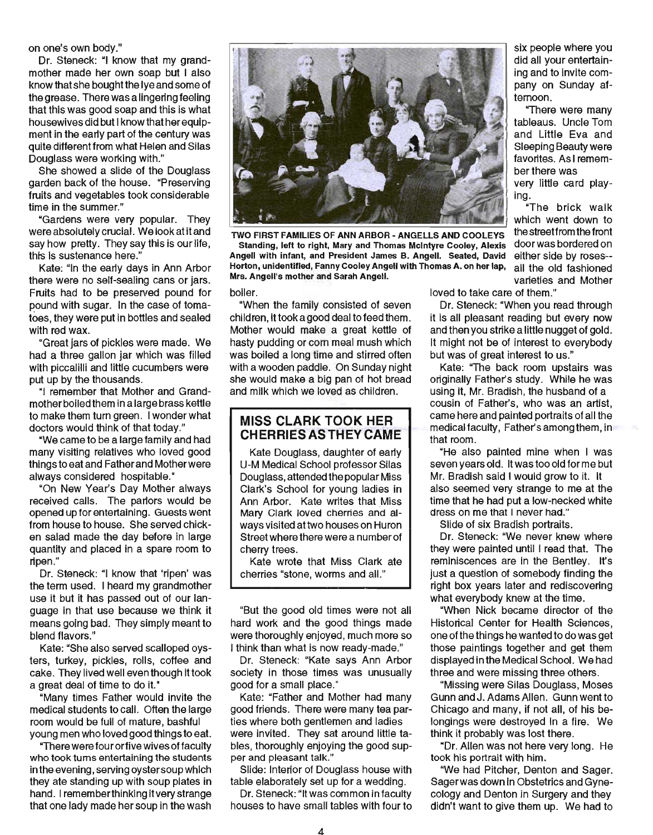on one's own body."

Dr. Steneck: "I know that my grandmother made her own soap but I also know that she bought the lye and some of the grease. There was a lingering feeling that this was good soap and this is what housewives did but I know that her equipment in the early part of the century was quite different from what Helen and Silas Douglass were working with."

She showed a slide of the Douglass garden back of the house. "Preserving fruits and vegetables took considerable time in the summer."

"Gardens were very popular. They were absolutely crucial. We look at it and say how pretty. They say this is our life, this is sustenance here."

Kate: "In the early days in Ann Arbor there were no self-sealing cans or jars. Fruits had to be preserved pound for pound with sugar. In the case of tomatoes, they were put in bottles and sealed with red wax.

"Great jars of pickles were made. We had a three gallon jar which was filled with piccalilli and little cucumbers were put up by the thousands.

"I remember that Mother and Grandmother boiled them in a large brass kettle to make them tum green. I wonder what doctors would think of that today."

"We came to be a large family and had many visiting relatives who loved good things to eat and Father and Motherwere always considered hospitable.·

"On New Year's Day Mother always received calls. The parlors would be opened up for entertaining. Guests went from house to house. She served chicken salad made the day before in large quantity and placed in a spare room to ripen."

Dr. Steneck: "I know that 'ripen' was the term used. I heard my grandmother use it but it has passed out of our language in that use because we think it means going bad. They simply meant to blend flavors."

Kate: "She also served scalloped oysters, turkey, pickles, rolls, coffee and cake. They lived well even though it took a great deal of time to do it."

"Many times Father would invite the medical students to call. Often the large room would be full of mature, bashful young men who loved good things to eat.

"There were four orfive wives of faculty who took tums entertaining the students in the evening, serving oyster soup which they ate standing up with soup plates in hand. I rememberthinking it very strange that one lady made her soup in the wash



TWO FIRST FAMILIES OF ANN ARBOR - ANGELLS AND COOLEYS

Standing, left to right, Mary and Thomas Mcintyre Cooley, Alexis Angell with infant, and President James B. Angell. Seated, David Horton, unidentified, Fanny Cooley Angell with Thomas A. on her lap, Mrs. Angell's mother and Sarah Angell. Varieties and Mother

"When the family consisted of seven children, it took a good deal to feed them. Mother would make a great kettle of hasty pudding or com meal mush which was boiled a long time and stirred often with a wooden paddle. On Sunday night she would make a big pan of hot bread and milk which we loved as children.

#### **MISS CLARK TOOK HER CHERRIESAS THEY CAME**

Kate Douglass, daughter of early U-M Medical School professor Silas Douglass, attended the popular Miss Clark's School for young ladies in Ann Arbor. Kate writes that Miss Mary Clark loved cherries and always visited at two houses on Huron Street where there were a number of cherry trees.

Kate wrote that Miss Clark ate cherries "stone, worms and all."

"But the good old times were not all hard work and the good things made were thoroughly enjoyed, much more so I think than what is now ready-made."

Dr. Steneck: "Kate says Ann Arbor society in those times was unusually good for a small place."

Kate: "Father and Mother had many good friends. There were many tea parties where both gentlemen and ladies were invited. They sat around little tables, thoroughly enjoying the good supper and pleasant talk."

Slide: Interior of Douglass house with table elaborately set up for a wedding.

Dr. Steneck:"lt was common in faculty houses to have small tables with four to

boiler. **loved to take care of them.**"

Dr. Steneck: "When you read through it is all pleasant reading but every now and then you strike a little nugget of gold. It might not be of interest to everybody but was of great interest to us."

Kate: "The back room upstairs was originally Father's study. While he was using it, Mr. Bradish, the husband of a cousin of Father's, who was an artist, came here and painted portraits of all the medical faculty, Father's among them, in that room.

"He also painted mine when I was seven years old. It was too old for me but Mr. Bradish said I would grow to it. It also seemed very strange to me at the time that he had put a low-necked white dress on me that I never had."

Slide of six Bradish portraits.

Dr. Steneck: "We never knew where they were painted until I read that. The reminiscences are in the Bentley. It's just a question of somebody finding the right box years later and rediscovering what everybody knew at the time.

"When Nick became director of the Historical Center for Health Sciences, one of the things he wanted to do was get those paintings together and get them displayed in the Medical School. We had three and were missing three others.

"Missing were Silas Douglass, Moses Gunn and J. Adams Allen. Gunn went to Chicago and many, if not all, of his belongings were destroyed in a fire. We think it probably was lost there.

"Dr. Allen was not here very long. He took his portrait with him.

"We had Pitcher, Denton and Sager. Sager was down in Obstetrics and Gynecology and Denton in Surgery and they didn't want to give them up. We had to

six people where you did all your entertaining and to invite company on Sunday afternoon.

"There were many tableaus. Uncle Tom and Little Eva and Sleeping Beauty were favorites. As I remember there was very little card playing.

"The brick walk which went down to the streetfrom the front door was bordered on either side by roses- ali the old fashioned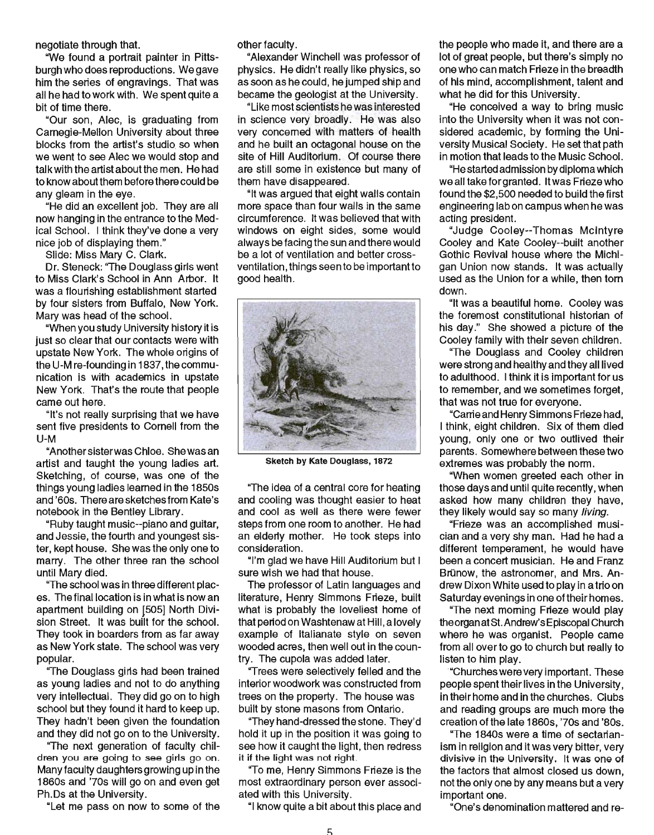negotiate through that.

~We found a portrait painter in Pittsburgh who does reproductions. We gave him the series of engravings. That was all he had to work with. We spent quite a bit of time there.

Our son, Alec, is graduating from Carnegie-Mellon University about three blocks from the artist's studio so when we went to see Alec we would stop and talk with the artist about the men. He had to know about them before there could be any gleam in the eye.

"He did an excellent job. They are all now hanging in the entrance to the Medical School. I think they've done a very nice job of displaying them."

Slide: Miss Mary C. Clark.

Dr. Steneck: "The Douglass girls went to Miss Clark's School in Ann Arbor. It was a flourishing establishment started by four sisters from Buffalo, New York. Mary was head of the school.

"When you study University history it is just so clear that our contacts were with upstate New York. The whole origins of the U-M re-founding in 1837, the communication is with academics in upstate New York. That's the route that people came out here.

"It's not really surprising that we have sent five presidents to Cornell from the U-M

"Another sisterwas Chloe. She was an artist and taught the young ladies art. Sketching, of course, was one of the things young ladies learned in the 18S0s and '60s. There are sketches from Kate's notebook in the Bentley Library.

"Ruby taught music--piano and guitar, and Jessie, the fourth and youngest sister, kept house. She was the only one to marry. The other three ran the school until Mary died.

"The school was in three different places. The final location is in what is now an apartment building on [505] North Division Street. It was built for the school. They took in boarders from as far away as New York state. The school was very popular.

"The Douglass girls had been trained as young ladies and not to do anything very intellectual. They did go on to high school but they found it hard to keep up. They hadn't been given the foundation and they did not go on to the University.

"The next generation of faculty children you are going to see girls go on. Many faculty daughters growing up in the 1860s and '70s will go on and even get Ph.Ds at the University.

"Let me pass on now to some of the

other faculty .

"Alexander Winchell was professor of physics. He didn't really like physics, so as soon as he could, he jumped ship and became the geologist at the University.

"Like most scientists he was interested in science very broadly. He was also very concerned with matters of health and he built an octagonal house on the site of Hill Auditorium. Of course there are still some in existence but many of them have disappeared.

"It was argued that eight walls contain more space than four walls in the same circumference. It was believed that with windows on eight sides, some would always be facing the sun and there would be a lot of ventilation and better crossventilation, things seen to be important to good health.



Sketch by Kate Douglass, 1872

"The idea of a central core for heating and cooling was thought easier to heat and cool as well as there were fewer steps from one room to another. He had an elderly mother. He took steps into consideration.

"I'm glad we have Hill Auditorium but I sure wish we had that house.

The professor of Latin languages and literature, Henry Simmons Frieze, built what is probably the loveliest home of that period on Washtenaw at Hill, a lovely example of Italianate style on seven wooded acres, then well out in the country. The cupola was added later.

"Trees were selectively felled and the interior woodwork was constructed from trees on the property. The house was built by stone masons from Ontario.

"They hand-dressed the stone. They'd hold it up in the position it was going to see how it caught the light, then redress it if the light was not right.

"To me, Henry Simmons Frieze is the most extraordinary person ever associated with this University.

"I know quite a bit about this place and

the people who made it, and there are a lot of great people, but there's simply no one who can match Frieze in the breadth of his mind, accomplishment, talent and what he did for this University.

"He conceived a way to bring music into the University when it was not considered academic, by forming the University Musical SOCiety. He set that path in motion that leads to the Music School.

"He started admission by diploma which we all take for granted. It was Frieze who found the \$2,Soo needed to build the first engineering lab on campus when he was acting president.

"Judge Cooley--Thomas Mcintyre Cooley and Kate Cooley--built another Gothic Revival house where the Michigan Union now stands. It was actually used as the Union for a while, then tom down.

"It was a beautiful home. Cooley was the foremost constitutional historian of his day;" She showed a picture of the Cooley family with their seven children.

"The Douglass and Cooley children were strong and healthy and they all lived to adulthood. I think it is important for us to remember, and we sometimes forget, that was not true for everyone.

"Carrie and Henry Simmons Frieze had, I think, eight children. Six of them died young, only one or two outlived their parents. Somewhere between these two extremes was probably the norm.

"When women greeted each other in those days and until quite recently, when asked how many children they have, they likely would say so many *living*.

"Frieze was an accomplished musician and a very shy man. Had he had a different temperament, he would have been a concert musician. He and Franz Brünow, the astronomer, and Mrs. Andrew Dixon White used to play in a trio on Saturday evenings in one of their homes.

"The next morning Frieze would play the organ at St. Andrew's Episcopal Church where he was organist. People came from all over to go to church but really to listen to him play.

"Churches were very important. These people spent their lives in the University, in their home and in the churches. Clubs and reading groups are much more the creation of the late 1860s, '70s and '80s.

"The 1840s were a time of sectarianism in religion and it was very bitter, very divisive in the University. It was one of the factors that almost closed us down, not the only one by any means but a very important one.

"One's denomination mattered and re-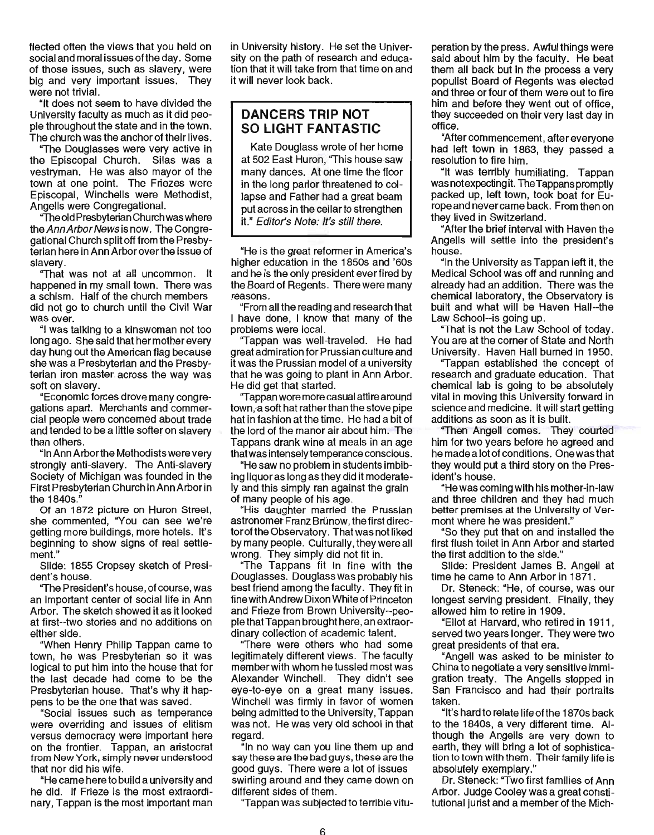flected often the views that you held on social and moral issues ofthe day. Some of those issues, such as slavery, were big and very important issues. They were not trivial.

"It does not seem to have divided the University faculty as much as it did people throughout the state and in the town. The church was the anchor of their lives.

"The Douglasses were very active in the Episcopal Church. Silas was a vestryman. He was also mayor of the town at one point. The Friezes were Episcopal, Winchells were Methodist, Angells were Congregational.

'The old Presbyterian Church was where the Ann Arbor News is now. The Congregational Church split off from the Presbyterian here in Ann Arbor over the issue of slavery.

"That was not at all uncommon. It happened in my small town. There was a schism. Half of the church members did not go to church until the Civil War was over.

"I was talking to a kinswoman not too long ago. She said that her mother every day hung out the American flag because she was a Presbyterian and the Presbyterian iron master. across the way was soft on slavery.

"Economic forces drove many congregations apart. Merchants and commercial people were concerned about trade and tended to be a little softer on slavery than others.

"In Ann Arborthe Methodists were very strongly anti-slavery. The Anti-slavery Society of Michigan was founded in the First Presbyterian Church in Ann Arbor in the 1840s."

Of an 1872 picture on Huron Street, she commented, "You can see we're getting more buildings, more hotels. It's beginning to show signs of real settlement."

Slide: 1855 Cropsey sketch of President's house.

"The President's house, of course, was an important center of social life in Ann Arbor. The sketch showed it as it looked at first--two stories and no additions on either side.

"When Henry Philip Tappan came to town, he was Presbyterian so it was logical to put him into the house that for the last decade had come to be the Presbyterian house. That's why it happens to be the one that was saved.

"Social issues such as temperance were overriding and issues of elitism versus democracy were important here on the frontier. Tappan, an aristocrat from NawYork, simply navarundarstood that nor did his wife.

"He came here to build a university and he did. If Frieze is the most extraordinary, Tappan is the most important man in University history. He set the University on the path of research and education that it will take from that time on and it will never look back.

# **DANCERS TRIP NOT SO LIGHT FANTASTIC**

Kate Douglass wrote of her home at 502 East Huron, "This house saw many dances. At one time the floor in the long parlor threatened to collapse and Father had a great beam put across in the cellar to strengthen it." Editor's Note: It's still there.

"He is the great reformer in America's higher education in the 1850s and '60s and he is the only president ever fired by the Board of Regents. There were many reasons.

"From all the reading and research that I have done, I know that many of the problems were local.

"Tappan was well-traveled. He had great admiration for Prussian culture and it was the Prussian model of a university that he was going to plant in Ann Arbor. He did get that started.

"Tappan wore more casual attire around town, a soft hat rather than the stove pipe hat in fashion at the time. He had a bit of the lord of the manor air about him. The Tappans drank wine at meals in an age that was intensely temperance conscious.

"He saw no problem in students imbibing liquor as long as they did it moderately and this simply ran against the grain of many people of his age.

"His daughter married the Prussian astronomer Franz Brünow, the first director of the Observatory. That was not liked by many people. Culturally, they were all wrong. They simply did not fit in.

"The Tappans fit in fine with the Douglasses. Douglass was probably his best friend among the faculty . They fit in fine with Andrew Dixon White of Princeton and Frieze from Brown University--peoplethatTappan brought here, an extraordinary collection of academic talent.

''There were others who had some legitimately different views. The faculty member with whom he tussled most was Alexander Winchell. They didn't see eye-to-eye on a great many issues. Winchell was firmly in favor of women being admitted to the University, Tappan was not. He was very old school in that regard.

"In no way can you line them up and say these are the bad guys, these are the good guys. There were a lot of issues swirling around and they came down on different sides of them\_

''Tappan was subjected to terrible vitu-

peration by the press. Awful things were said about him by the faculty. He beat them all back but in the process a very populist Board of Regents was elected and three or four of them were out to fire him and before they went out of office, they succeeded on their very last day in office.

"After commencement, after everyone had left town in 1863, they passed a resolution to fire him.

"It was terribly humiliating. Tappan was not expecting it. The Tappans promptly packed up, left town, took boat for Europe and never came back. From then on they lived in Switzerland.

"After the brief interval with Haven the Angells will settle into the president's house.

"In the University as Tappan left it, the Medical School was off and running and already had an addition. There was the chemical laboratory, the Observatory is built and what will be Haven Hall--the Law School--is going up.

"That is not the Law School of today. You are at the comer of State and North University. Haven Hall burned in 1950.

"Tappan established the concept of research and graduate education. That chemical lab is going to be absolutely vital in moving this University forward in science and medicine. It will start getting additions as soon as it is built.

"Then Angell comes. They courted him for two years before he agreed and he made a lot of conditions. One was that they would put a third story on the President's house.

"He was coming with his mother-in-law and three children and they had much better premises at the University of Vermont where he was president."

"So they put that on and installed the first flush toilet in Ann Arbor and started the first addition to the side."

Slide: President James B. Angell at time he came to Ann Arbor in 1871 .

Dr. Steneck: "He, of course, was our longest serving president. Finally, they allowed him to retire in 1909.

"Eliot at Harvard, who retired in 1911, served two years longer. They were two great presidents of that era.

"Angell was asked to be minister to China to negotiate a very sensitive immi~ gration treaty. The Angells stopped in San Francisco and had their portraits taken.

"It's hard to relate life ofthe 1870s back to the 1840s, a very different time. Although the Angells are very down to earth, they will bring a lot of sophistication to town with them. Their family life is absolutely exemplary."

Dr. Steneck: "Two first families of Ann Arbor. Judge Cooley was a great constitutional jurist and a member of the Mich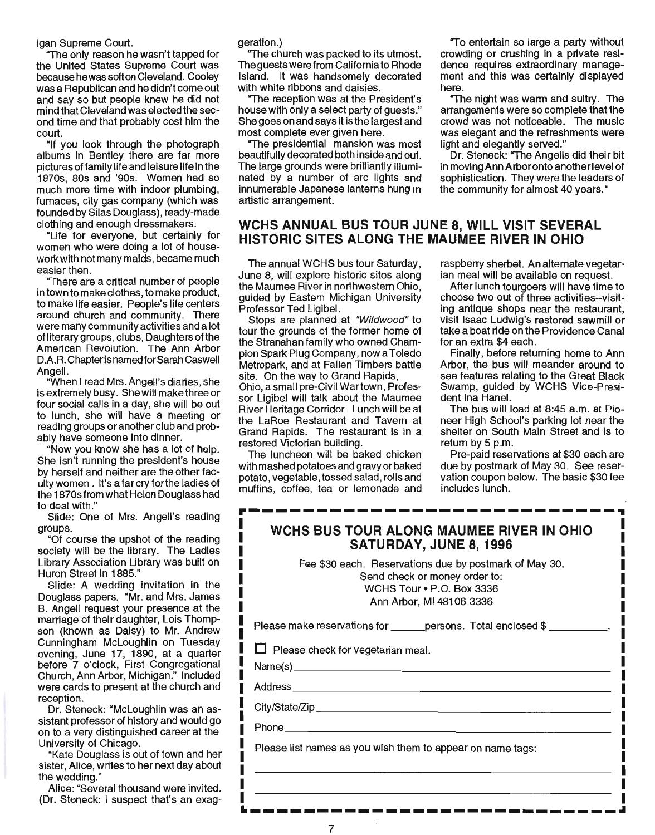igan Supreme Court.

"The only reason he wasn't tapped for the United States Supreme Court was because he was soft on Cleveland. Cooley was a Republican and he didn't come out and say so but people knew he did not mind that Cleveland was elected the second time and that probably cost him the court.

"If you look through the photograph albums in Bentley there are far more pictures of family life and leisure life in the 1870s, 80s and '90s. Women had so much more time with indoor plumbing, furnaces, city gas company (which was founded by Silas Douglass), ready-made clothing and enough dressmakers.

"Life for everyone, but certainly for women who were doing a lot of housework with not many maids, became much easier then.

"There are a critical number of people in town to make clothes, to make product, to make life easier. People's life centers around church and community. There were many community activities and a lot of literary groups, clubs, Daughters of the American Revolution. The Ann Arbor D.A.R. Chapter is named for Sarah Caswell Angell.

"When I read Mrs. Angell's diaries, she is extremely busy. She will make three or four social calls in a day, she will be out to lunch, she will have a meeting or reading groups or another club and probably have someone into dinner.

"Now you know she has a lot of help. She isn't running the president's house by herself and neither are the other faculty women. It's a farcry for the ladies of the 1870s from what Helen Douglass had to deal with."

Slide: One of Mrs. Angell's reading groups.

"Of course the upshot of the reading society will be the library. The Ladies Library Association Library was built on Huron Street in 1885."

Slide: A wedding invitation in the Douglass papers. "Mr. and Mrs. James B. Angell request your presence at the marriage of their daughter, Lois Thompson (known as Daisy) to Mr. Andrew Cunningham McLoughlin on Tuesday evening, June 17, 1890, at a quarter before 7 o'clock, First Congregational Church, Ann Arbor, Michigan." Included were cards to present at the church and reception.

Dr. Steneck: "McLoughlin was an assistant professor of history and would go on to a very distinguished career at the University of Chicago.

"Kate Douglass is out of town and her sister, Alice, writes to her next day about the wedding."

Alice: "Several thousand were invited. (Dr. Steneck: I suspect that's an exaggeration.)

"The church was packed to its utmost. The guests were from California to Rhode Island. It was handsomely decorated with white ribbons and daisies.

The reception was at the President's house with only a select party of guests." She goes on and says it is the largest and most complete ever given here.

"The presidential mansion was most beautifully decorated both inside and out. The large grounds were brilliantly illuminated by a number of arc lights and innumerable Japanese lanterns hung in artistic arrangement.

#### **WCHS ANNUAL BUS TOUR JUNE 8, WILL VISIT SEVERAL HISTORIC SITES ALONG THE MAUMEE RIVER IN OHIO**

here.

The annual WCHS bus tour Saturday, June 8, will explore historic sites along the Maumee River in northwestern Ohio, guided by Eastern Michigan University Professor Ted Ligibel.

Stops are planned at "Wildwood" to tour the grounds of the former home of the Stranahan family who owned Champion Spark Plug Company, now a Toledo Metropark, and at Fallen Timbers battle site. On the way to Grand Rapids, Ohio, a small pre-Civil Wartown, Profes-

sor Ligibel will talk about the Maumee River Heritage Corridor. Lunch will be at the LaRoe Restaurant and Tavern at Grand Rapids. The restaurant is in a restored Victorian building.

The luncheon will be baked chicken with mashed potatoes and gravy or baked potato, vegetable, tossed salad, rolls and muffins, coffee, tea or lemonade and

raspberry sherbet. An alternate vegetarian meal will be available on request.

"To entertain so large a party without crowding or crushing in a private residence requires extraordinary management and this was certainly displayed

"The night was warm and sultry. The arrangements were so complete that the crowd was not noticeable. The music was elegant and the refreshments were

Dr. Steneck: "The Angells did their bit in moving Ann Arboronto another level of sophistication. They were the leaders of the community for almost 40 years."

light and elegantly served."

After lunch tourgoers will have time to choose two out of three activities--visiting antique shops near the restaurant, visit Isaac LUdwig's restored sawmill or take a boat ride on the Providence Canal for an extra \$4 each.

Finally, before returning home to Ann Arbor, the bus will meander around to see features relating to the Great Black Swamp, guided by WCHS Vice-President Ina Hanel.

The bus will load at 8:45 a.m. at Pioneer High School's parking lot near the shelter on South Main Street and is to return by 5 p.m.

Pre-paid reservations at \$30 each are due by postmark of May 30. See reservation coupon below. The basic \$30 fee includes lunch.

| <b>WCHS BUS TOUR ALONG MAUMEE RIVER IN OHIO</b><br>SATURDAY, JUNE 8, 1996                                                                        |  |
|--------------------------------------------------------------------------------------------------------------------------------------------------|--|
| Fee \$30 each. Reservations due by postmark of May 30.<br>Send check or money order to:<br>WCHS Tour . P.O. Box 3336<br>Ann Arbor, MI 48106-3336 |  |
| Please make reservations for _______ persons. Total enclosed \$ ___________.                                                                     |  |
| $\Box$ Please check for vegetarian meal.<br>Name(s)                                                                                              |  |
|                                                                                                                                                  |  |
|                                                                                                                                                  |  |
| Phone <b>Phone Phone Phone Phone Phone</b>                                                                                                       |  |
| Please list names as you wish them to appear on name tags:                                                                                       |  |
|                                                                                                                                                  |  |